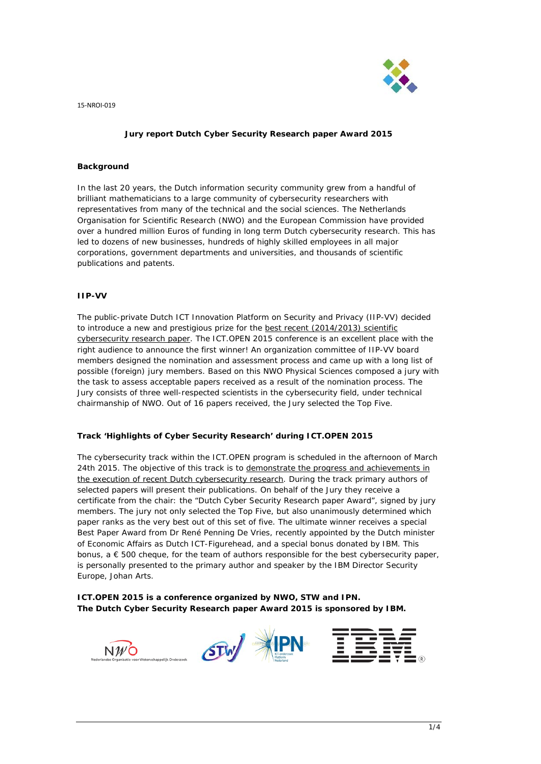

# **Jury report Dutch Cyber Security Research paper Award 2015**

### **Background**

In the last 20 years, the Dutch information security community grew from a handful of brilliant mathematicians to a large community of cybersecurity researchers with representatives from many of the technical and the social sciences. The Netherlands Organisation for Scientific Research (NWO) and the European Commission have provided over a hundred million Euros of funding in long term Dutch cybersecurity research. This has led to dozens of new businesses, hundreds of highly skilled employees in all major corporations, government departments and universities, and thousands of scientific publications and patents.

#### **IIP-VV**

The public-private Dutch ICT Innovation Platform on Security and Privacy (IIP-VV) decided to introduce a new and prestigious prize for the best recent (2014/2013) scientific cybersecurity research paper. The ICT.OPEN 2015 conference is an excellent place with the right audience to announce the first winner! An organization committee of IIP-VV board members designed the nomination and assessment process and came up with a long list of possible (foreign) jury members. Based on this NWO Physical Sciences composed a jury with the task to assess acceptable papers received as a result of the nomination process. The Jury consists of three well-respected scientists in the cybersecurity field, under technical chairmanship of NWO. Out of 16 papers received, the Jury selected the Top Five.

### **Track 'Highlights of Cyber Security Research' during ICT.OPEN 2015**

The cybersecurity track within the ICT.OPEN program is scheduled in the afternoon of March 24th 2015. The objective of this track is to demonstrate the progress and achievements in the execution of recent Dutch cybersecurity research. During the track primary authors of selected papers will present their publications. On behalf of the Jury they receive a certificate from the chair: the "Dutch Cyber Security Research paper Award", signed by jury members. The jury not only selected the Top Five, but also unanimously determined which paper ranks as the very best out of this set of five. The ultimate winner receives a special Best Paper Award from Dr René Penning De Vries, recently appointed by the Dutch minister of Economic Affairs as Dutch ICT-Figurehead, and a special bonus donated by IBM. This bonus,  $a \in 500$  cheque, for the team of authors responsible for the best cybersecurity paper, is personally presented to the primary author and speaker by the IBM Director Security Europe, Johan Arts.

**ICT.OPEN 2015 is a conference organized by NWO, STW and IPN. The Dutch Cyber Security Research paper Award 2015 is sponsored by IBM.**

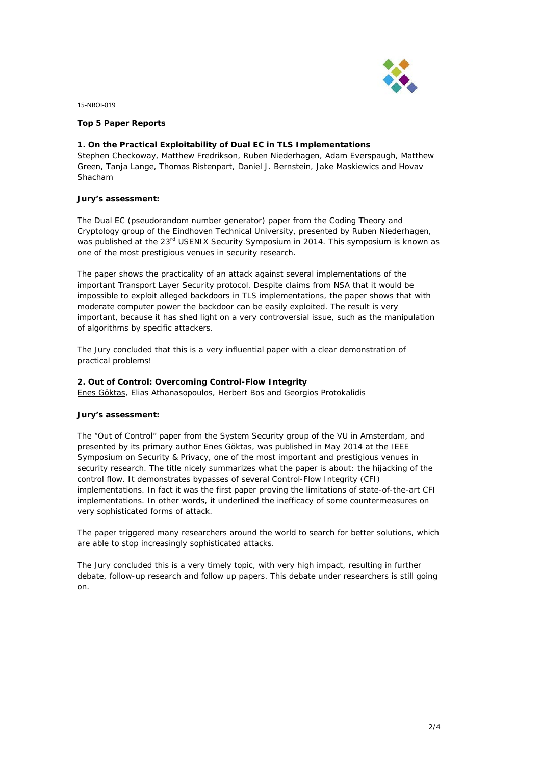

# **Top 5 Paper Reports**

# **1. On the Practical Exploitability of Dual EC in TLS Implementations**

*Stephen Checkoway, Matthew Fredrikson, Ruben Niederhagen, Adam Everspaugh, Matthew Green, Tanja Lange, Thomas Ristenpart, Daniel J. Bernstein, Jake Maskiewics and Hovav Shacham*

# **Jury's assessment:**

The Dual EC (pseudorandom number generator) paper from the Coding Theory and Cryptology group of the Eindhoven Technical University, presented by Ruben Niederhagen, was published at the 23<sup>rd</sup> USENIX Security Symposium in 2014. This symposium is known as one of the most prestigious venues in security research.

The paper shows the practicality of an attack against several implementations of the important Transport Layer Security protocol. Despite claims from NSA that it would be impossible to exploit alleged backdoors in TLS implementations, the paper shows that with moderate computer power the backdoor can be easily exploited. The result is very important, because it has shed light on a very controversial issue, such as the manipulation of algorithms by specific attackers.

The Jury concluded that this is a very influential paper with a clear demonstration of practical problems!

# **2. Out of Control: Overcoming Control-Flow Integrity**

*Enes Göktas, Elias Athanasopoulos, Herbert Bos and Georgios Protokalidis*

#### **Jury's assessment:**

The "Out of Control" paper from the System Security group of the VU in Amsterdam, and presented by its primary author Enes Göktas, was published in May 2014 at the IEEE Symposium on Security & Privacy, one of the most important and prestigious venues in security research. The title nicely summarizes what the paper is about: the hijacking of the control flow. It demonstrates bypasses of several Control-Flow Integrity (CFI) implementations. In fact it was the first paper proving the limitations of state-of-the-art CFI implementations. In other words, it underlined the inefficacy of some countermeasures on very sophisticated forms of attack.

The paper triggered many researchers around the world to search for better solutions, which are able to stop increasingly sophisticated attacks.

The Jury concluded this is a very timely topic, with very high impact, resulting in further debate, follow-up research and follow up papers. This debate under researchers is still going on.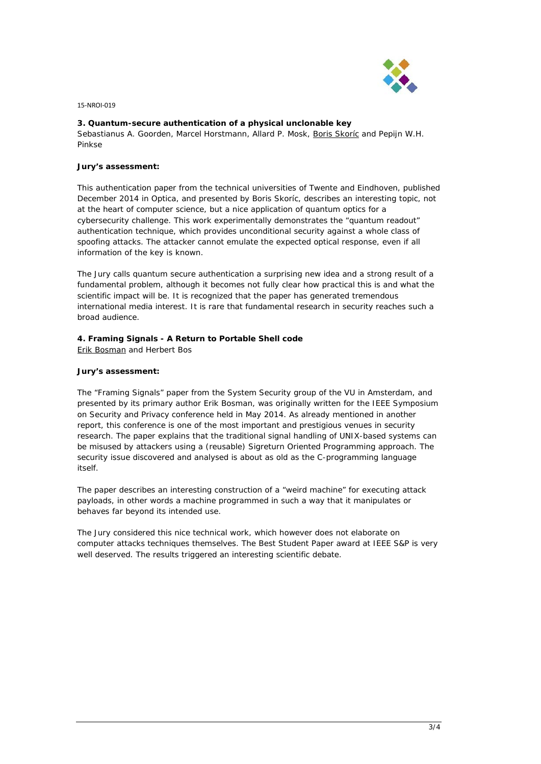

# **3. Quantum-secure authentication of a physical unclonable key**

*Sebastianus A. Goorden, Marcel Horstmann, Allard P. Mosk, Boris Skoríc and Pepijn W.H. Pinkse*

#### **Jury's assessment:**

This authentication paper from the technical universities of Twente and Eindhoven, published December 2014 in Optica, and presented by Boris Skoríc, describes an interesting topic, not at the heart of computer science, but a nice application of quantum optics for a cybersecurity challenge. This work experimentally demonstrates the "quantum readout" authentication technique, which provides unconditional security against a whole class of spoofing attacks. The attacker cannot emulate the expected optical response, even if all information of the key is known.

The Jury calls quantum secure authentication a surprising new idea and a strong result of a fundamental problem, although it becomes not fully clear how practical this is and what the scientific impact will be. It is recognized that the paper has generated tremendous international media interest. It is rare that fundamental research in security reaches such a broad audience.

# **4. Framing Signals - A Return to Portable Shell code**

*Erik Bosman and Herbert Bos*

# **Jury's assessment:**

The "Framing Signals" paper from the System Security group of the VU in Amsterdam, and presented by its primary author Erik Bosman, was originally written for the IEEE Symposium on Security and Privacy conference held in May 2014. As already mentioned in another report, this conference is one of the most important and prestigious venues in security research. The paper explains that the traditional signal handling of UNIX-based systems can be misused by attackers using a (reusable) Sigreturn Oriented Programming approach. The security issue discovered and analysed is about as old as the C-programming language itself.

The paper describes an interesting construction of a "weird machine" for executing attack payloads, in other words a machine programmed in such a way that it manipulates or behaves far beyond its intended use.

The Jury considered this nice technical work, which however does not elaborate on computer attacks techniques themselves. The Best Student Paper award at IEEE S&P is very well deserved. The results triggered an interesting scientific debate.